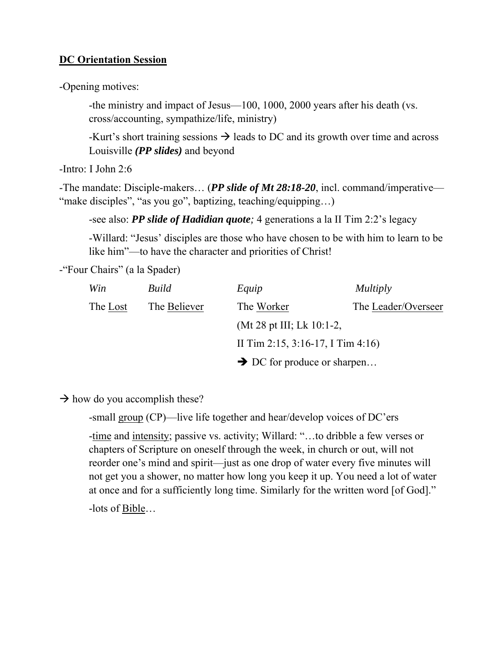### **DC Orientation Session**

-Opening motives:

-the ministry and impact of Jesus—100, 1000, 2000 years after his death (vs. cross/accounting, sympathize/life, ministry)

-Kurt's short training sessions  $\rightarrow$  leads to DC and its growth over time and across Louisville *(PP slides)* and beyond

-Intro: I John 2:6

-The mandate: Disciple-makers… (*PP slide of Mt 28:18-20*, incl. command/imperative— "make disciples", "as you go", baptizing, teaching/equipping...)

-see also: *PP slide of Hadidian quote;* 4 generations a la II Tim 2:2's legacy

-Willard: "Jesus' disciples are those who have chosen to be with him to learn to be like him"—to have the character and priorities of Christ!

-"Four Chairs" (a la Spader)

| Win      | <b>Build</b> | Equip                                   | <i>Multiply</i>     |
|----------|--------------|-----------------------------------------|---------------------|
| The Lost | The Believer | The Worker                              | The Leader/Overseer |
|          |              | (Mt 28 pt III; Lk 10:1-2,               |                     |
|          |              | II Tim 2:15, 3:16-17, I Tim 4:16)       |                     |
|          |              | $\rightarrow$ DC for produce or sharpen |                     |

 $\rightarrow$  how do you accomplish these?

-small group (CP)—live life together and hear/develop voices of DC'ers

-time and intensity; passive vs. activity; Willard: "…to dribble a few verses or chapters of Scripture on oneself through the week, in church or out, will not reorder one's mind and spirit—just as one drop of water every five minutes will not get you a shower, no matter how long you keep it up. You need a lot of water at once and for a sufficiently long time. Similarly for the written word [of God]." -lots of Bible…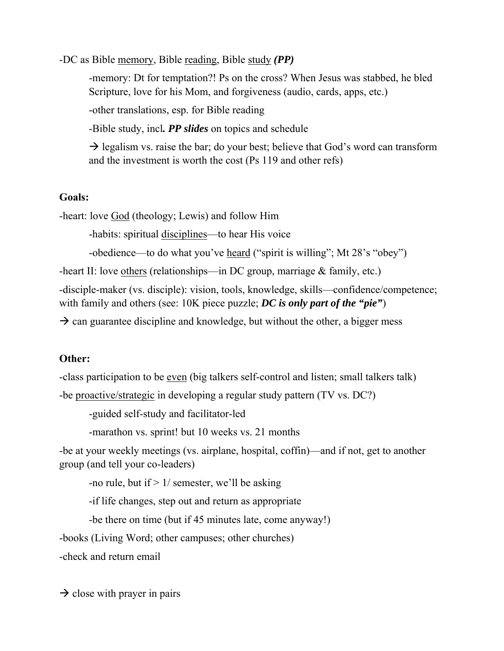-DC as Bible memory, Bible reading, Bible study *(PP)*

-memory: Dt for temptation?! Ps on the cross? When Jesus was stabbed, he bled Scripture, love for his Mom, and forgiveness (audio, cards, apps, etc.)

-other translations, esp. for Bible reading

-Bible study, incl*. PP slides* on topics and schedule

 $\rightarrow$  legalism vs. raise the bar; do your best; believe that God's word can transform and the investment is worth the cost (Ps 119 and other refs)

## **Goals:**

-heart: love God (theology; Lewis) and follow Him

-habits: spiritual <u>disciplines</u>—to hear His voice

-obedience—to do what you've heard ("spirit is willing"; Mt 28's "obey")

-heart II: love others (relationships—in DC group, marriage & family, etc.)

-disciple-maker (vs. disciple): vision, tools, knowledge, skills—confidence/competence; with family and others (see: 10K piece puzzle; *DC is only part of the "pie"*)

 $\rightarrow$  can guarantee discipline and knowledge, but without the other, a bigger mess

## **Other:**

-class participation to be even (big talkers self-control and listen; small talkers talk)

-be proactive/strategic in developing a regular study pattern (TV vs. DC?)

-guided self-study and facilitator-led

-marathon vs. sprint! but 10 weeks vs. 21 months

-be at your weekly meetings (vs. airplane, hospital, coffin)—and if not, get to another group (and tell your co-leaders)

-no rule, but if  $> 1/$  semester, we'll be asking

-if life changes, step out and return as appropriate

-be there on time (but if 45 minutes late, come anyway!)

-books (Living Word; other campuses; other churches)

-check and return email

 $\rightarrow$  close with prayer in pairs